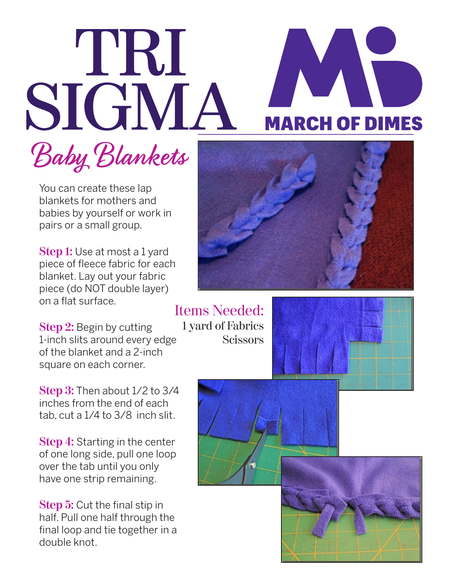## TRI SIGMA

## **MARCH OF DIMES**

Baby Blankets

You can create these lap blankets for mothers and babies by yourself or work in pairs or a small group.

**Step 1:** Use at most a 1 yard piece of fleece fabric for each blanket. Lay out your fabric piece (do NOT double layer) on a flat surface.

**Step 2:** Begin by cutting 1-inch slits around every edge of the blanket and a 2-inch square on each corner.

**Step 3:** Then about 1/2 to 3/4 inches from the end of each tab, cut a 1/4 to 3/8 inch slit.

**Step 4:** Starting in the center of one long side, pull one loop over the tab until you only have one strip remaining.

**Step 5:** Cut the final stip in half. Pull one half through the final loop and tie together in a double knot.



Items Needed: 1 yard of Fabrics **Scissors**